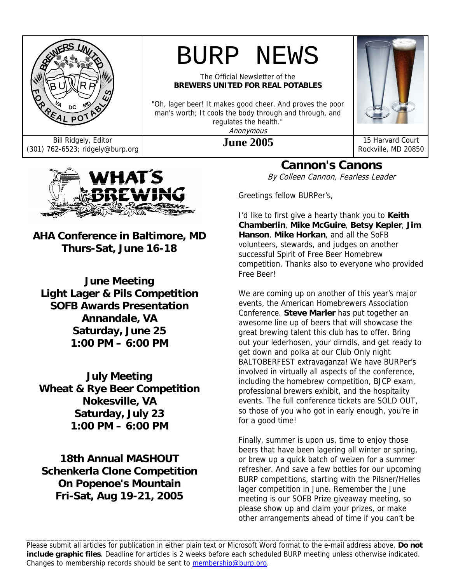

# BURP NEWS

The Official Newsletter of the **BREWERS UNITED FOR REAL POTABLES** 

"Oh, lager beer! It makes good cheer, And proves the poor man's worth; It cools the body through and through, and regulates the health." Anonymous



Bill Ridgely, Editor<br>(301) 762-6523; ridgely@burp.org **June 2005** 15 Harvard Court Rockville, MD 2085 Rockville, MD 20850



**AHA Conference in Baltimore, MD Thurs-Sat, June 16-18** 

**June Meeting Light Lager & Pils Competition SOFB Awards Presentation Annandale, VA Saturday, June 25 1:00 PM – 6:00 PM** 

**July Meeting Wheat & Rye Beer Competition Nokesville, VA Saturday, July 23 1:00 PM – 6:00 PM** 

**18th Annual MASHOUT Schenkerla Clone Competition On Popenoe's Mountain Fri-Sat, Aug 19-21, 2005** 

**Cannon's Canons** 

By Colleen Cannon, Fearless Leader

Greetings fellow BURPer's,

I'd like to first give a hearty thank you to **Keith Chamberlin**, **Mike McGuire**, **Betsy Kepler**, **Jim Hanson**, **Mike Horkan**, and all the SoFB volunteers, stewards, and judges on another successful Spirit of Free Beer Homebrew competition. Thanks also to everyone who provided Free Beer!

We are coming up on another of this year's major events, the American Homebrewers Association Conference. **Steve Marler** has put together an awesome line up of beers that will showcase the great brewing talent this club has to offer. Bring out your lederhosen, your dirndls, and get ready to get down and polka at our Club Only night BALTOBERFEST extravaganza! We have BURPer's involved in virtually all aspects of the conference, including the homebrew competition, BJCP exam, professional brewers exhibit, and the hospitality events. The full conference tickets are SOLD OUT, so those of you who got in early enough, you're in for a good time!

Finally, summer is upon us, time to enjoy those beers that have been lagering all winter or spring, or brew up a quick batch of weizen for a summer refresher. And save a few bottles for our upcoming BURP competitions, starting with the Pilsner/Helles lager competition in June. Remember the June meeting is our SOFB Prize giveaway meeting, so please show up and claim your prizes, or make other arrangements ahead of time if you can't be

Please submit all articles for publication in either plain text or Microsoft Word format to the e-mail address above. **Do not include graphic files**. Deadline for articles is 2 weeks before each scheduled BURP meeting unless otherwise indicated. Changes to membership records should be sent to membership@burp.org.

\_\_\_\_\_\_\_\_\_\_\_\_\_\_\_\_\_\_\_\_\_\_\_\_\_\_\_\_\_\_\_\_\_\_\_\_\_\_\_\_\_\_\_\_\_\_\_\_\_\_\_\_\_\_\_\_\_\_\_\_\_\_\_\_\_\_\_\_\_\_\_\_\_\_\_\_\_\_\_\_\_\_\_\_\_\_\_\_\_\_\_\_\_\_\_\_\_\_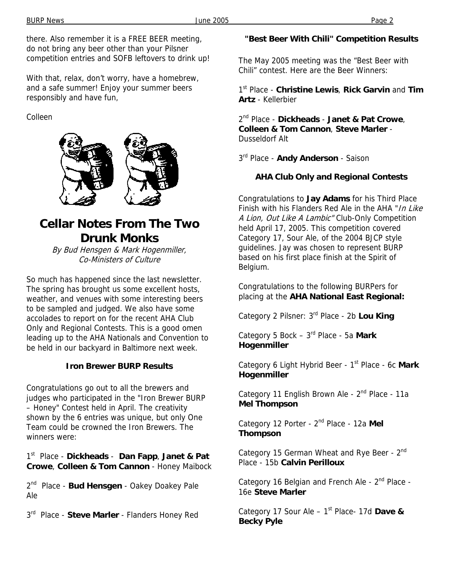there. Also remember it is a FREE BEER meeting, do not bring any beer other than your Pilsner competition entries and SOFB leftovers to drink up!

With that, relax, don't worry, have a homebrew, and a safe summer! Enjoy your summer beers responsibly and have fun,

Colleen



# **Cellar Notes From The Two Drunk Monks**

By Bud Hensgen & Mark Hogenmiller, Co-Ministers of Culture

So much has happened since the last newsletter. The spring has brought us some excellent hosts, weather, and venues with some interesting beers to be sampled and judged. We also have some accolades to report on for the recent AHA Club Only and Regional Contests. This is a good omen leading up to the AHA Nationals and Convention to be held in our backyard in Baltimore next week.

### **Iron Brewer BURP Results**

Congratulations go out to all the brewers and judges who participated in the "Iron Brewer BURP – Honey" Contest held in April. The creativity shown by the 6 entries was unique, but only One Team could be crowned the Iron Brewers. The winners were:

1st Place - **Dickheads** - **Dan Fapp**, **Janet & Pat Crowe**, **Colleen & Tom Cannon** - Honey Maibock

2nd Place - **Bud Hensgen** - Oakey Doakey Pale Ale

 $3<sup>rd</sup>$  Place - Steve Marler - Flanders Honey Red

### **"Best Beer With Chili" Competition Results**

The May 2005 meeting was the "Best Beer with Chili" contest. Here are the Beer Winners:

1st Place - **Christine Lewis**, **Rick Garvin** and **Tim Artz** - Kellerbier

2nd Place - **Dickheads** - **Janet & Pat Crowe**, **Colleen & Tom Cannon**, **Steve Marler** - Dusseldorf Alt

3rd Place - **Andy Anderson** - Saison

### **AHA Club Only and Regional Contests**

Congratulations to **Jay Adams** for his Third Place Finish with his Flanders Red Ale in the AHA "In Like A Lion, Out Like A Lambic" Club-Only Competition held April 17, 2005. This competition covered Category 17, Sour Ale, of the 2004 BJCP style guidelines. Jay was chosen to represent BURP based on his first place finish at the Spirit of Belgium.

Congratulations to the following BURPers for placing at the **AHA National East Regional:** 

Category 2 Pilsner: 3rd Place - 2b **Lou King**

Category 5 Bock – 3rd Place - 5a **Mark Hogenmiller**

Category 6 Light Hybrid Beer - 1<sup>st</sup> Place - 6c Mark **Hogenmiller**

Category 11 English Brown Ale - 2<sup>nd</sup> Place - 11a **Mel Thompson**

Category 12 Porter - 2nd Place - 12a **Mel Thompson**

Category 15 German Wheat and Rye Beer - 2<sup>nd</sup> Place - 15b **Calvin Perilloux**

Category 16 Belgian and French Ale - 2<sup>nd</sup> Place -16e **Steve Marler**

Category 17 Sour Ale – 1st Place- 17d **Dave & Becky Pyle**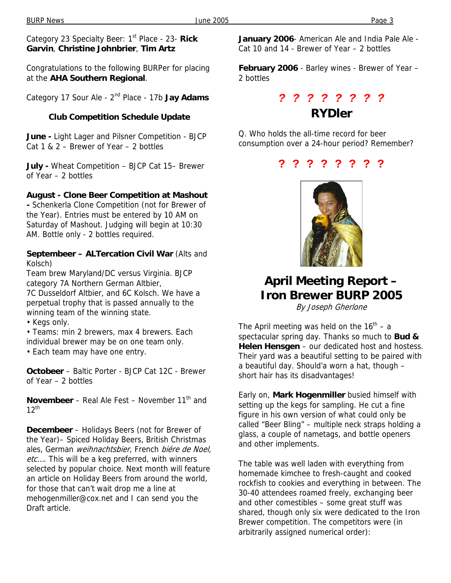Category 23 Specialty Beer: 1st Place - 23- **Rick Garvin**, **Christine Johnbrier**, **Tim Artz**

Congratulations to the following BURPer for placing at the **AHA Southern Regional**.

Category 17 Sour Ale - 2nd Place - 17b **Jay Adams**

#### **Club Competition Schedule Update**

**June -** Light Lager and Pilsner Competition - BJCP Cat 1 & 2 – Brewer of Year – 2 bottles

**July -** Wheat Competition – BJCP Cat 15– Brewer of Year – 2 bottles

#### **August - Clone Beer Competition at Mashout**

**-** Schenkerla Clone Competition (not for Brewer of the Year). Entries must be entered by 10 AM on Saturday of Mashout. Judging will begin at 10:30 AM. Bottle only - 2 bottles required.

#### **Septembeer – ALTercation Civil War** (Alts and Kolsch)

Team brew Maryland/DC versus Virginia. BJCP category 7A Northern German Altbier,

7C Dusseldorf Altbier, and 6C Kolsch. We have a perpetual trophy that is passed annually to the winning team of the winning state.

• Kegs only.

• Teams: min 2 brewers, max 4 brewers. Each individual brewer may be on one team only.

• Each team may have one entry.

**Octobeer** – Baltic Porter - BJCP Cat 12C - Brewer of Year – 2 bottles

**Novembeer** – Real Ale Fest – November 11<sup>th</sup> and  $12^{th}$ 

**Decembeer** – Holidays Beers (not for Brewer of the Year)– Spiced Holiday Beers, British Christmas ales, German weihnachtsbier, French biére de Noel, etc.... This will be a keg preferred, with winners selected by popular choice. Next month will feature an article on Holiday Beers from around the world, for those that can't wait drop me a line at mehogenmiller@cox.net and I can send you the Draft article.

**January 2006**- American Ale and India Pale Ale - Cat 10 and 14 - Brewer of Year – 2 bottles

**February 2006** - Barley wines - Brewer of Year – 2 bottles

## *? ? ? ? ? ? ? ?*  **RYDler**

Q. Who holds the all-time record for beer consumption over a 24-hour period? Remember?

#### **? ? ? ? ? ? ? ?**



# **April Meeting Report – Iron Brewer BURP 2005**

By Joseph Gherlone

The April meeting was held on the  $16<sup>th</sup> - a$ spectacular spring day. Thanks so much to **Bud & Helen Hensgen** – our dedicated host and hostess. Their yard was a beautiful setting to be paired with a beautiful day. Should'a worn a hat, though – short hair has its disadvantages!

Early on, **Mark Hogenmiller** busied himself with setting up the kegs for sampling. He cut a fine figure in his own version of what could only be called "Beer Bling" – multiple neck straps holding a glass, a couple of nametags, and bottle openers and other implements.

The table was well laden with everything from homemade kimchee to fresh-caught and cooked rockfish to cookies and everything in between. The 30-40 attendees roamed freely, exchanging beer and other comestibles – some great stuff was shared, though only six were dedicated to the Iron Brewer competition. The competitors were (in arbitrarily assigned numerical order):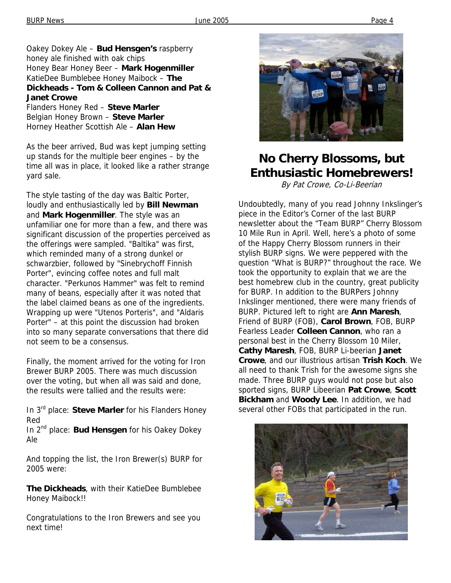#### Oakey Dokey Ale – **Bud Hensgen's** raspberry honey ale finished with oak chips Honey Bear Honey Beer – **Mark Hogenmiller** KatieDee Bumblebee Honey Maibock – **The Dickheads - Tom & Colleen Cannon and Pat & Janet Crowe**

Flanders Honey Red – **Steve Marler** Belgian Honey Brown – **Steve Marler** Horney Heather Scottish Ale – **Alan Hew**

As the beer arrived, Bud was kept jumping setting up stands for the multiple beer engines – by the time all was in place, it looked like a rather strange yard sale.

The style tasting of the day was Baltic Porter, loudly and enthusiastically led by **Bill Newman** and **Mark Hogenmiller**. The style was an unfamiliar one for more than a few, and there was significant discussion of the properties perceived as the offerings were sampled. "Baltika" was first, which reminded many of a strong dunkel or schwarzbier, followed by "Sinebrychoff Finnish Porter", evincing coffee notes and full malt character. "Perkunos Hammer" was felt to remind many of beans, especially after it was noted that the label claimed beans as one of the ingredients. Wrapping up were "Utenos Porteris", and "Aldaris Porter" – at this point the discussion had broken into so many separate conversations that there did not seem to be a consensus.

Finally, the moment arrived for the voting for Iron Brewer BURP 2005. There was much discussion over the voting, but when all was said and done, the results were tallied and the results were:

In 3rd place: **Steve Marler** for his Flanders Honey Red

In 2nd place: **Bud Hensgen** for his Oakey Dokey Ale

And topping the list, the Iron Brewer(s) BURP for 2005 were:

**The Dickheads**, with their KatieDee Bumblebee Honey Maibock!!

Congratulations to the Iron Brewers and see you next time!



# **No Cherry Blossoms, but Enthusiastic Homebrewers!**

By Pat Crowe, Co-Li-Beerian

Undoubtedly, many of you read Johnny Inkslinger's piece in the Editor's Corner of the last BURP newsletter about the "Team BURP" Cherry Blossom 10 Mile Run in April. Well, here's a photo of some of the Happy Cherry Blossom runners in their stylish BURP signs. We were peppered with the question "What is BURP?" throughout the race. We took the opportunity to explain that we are the best homebrew club in the country, great publicity for BURP. In addition to the BURPers Johnny Inkslinger mentioned, there were many friends of BURP. Pictured left to right are **Ann Maresh**, Friend of BURP (FOB), **Carol Brown**, FOB, BURP Fearless Leader **Colleen Cannon**, who ran a personal best in the Cherry Blossom 10 Miler, **Cathy Maresh**, FOB, BURP Li-beerian **Janet Crowe**, and our illustrious artisan **Trish Koch**. We all need to thank Trish for the awesome signs she made. Three BURP guys would not pose but also sported signs, BURP Libeerian **Pat Crowe**, **Scott Bickham** and **Woody Lee**. In addition, we had several other FOBs that participated in the run.

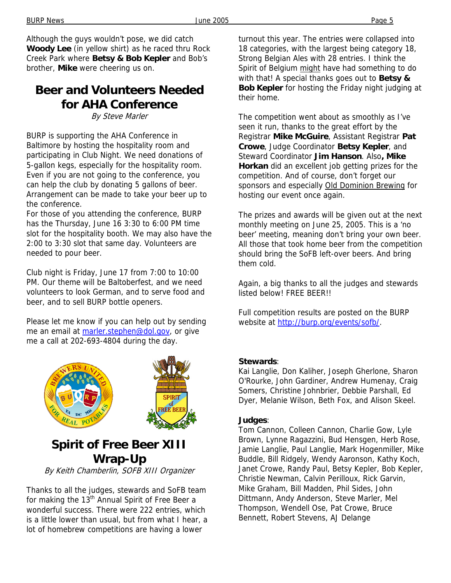Although the guys wouldn't pose, we did catch **Woody Lee** (in yellow shirt) as he raced thru Rock Creek Park where **Betsy & Bob Kepler** and Bob's brother, **Mike** were cheering us on.

## **Beer and Volunteers Needed for AHA Conference**

By Steve Marler

BURP is supporting the AHA Conference in Baltimore by hosting the hospitality room and participating in Club Night. We need donations of 5-gallon kegs, especially for the hospitality room. Even if you are not going to the conference, you can help the club by donating 5 gallons of beer. Arrangement can be made to take your beer up to the conference.

For those of you attending the conference, BURP has the Thursday, June 16 3:30 to 6:00 PM time slot for the hospitality booth. We may also have the 2:00 to 3:30 slot that same day. Volunteers are needed to pour beer.

Club night is Friday, June 17 from 7:00 to 10:00 PM. Our theme will be Baltoberfest, and we need volunteers to look German, and to serve food and beer, and to sell BURP bottle openers.

Please let me know if you can help out by sending me an email at marler.stephen@dol.gov, or give me a call at 202-693-4804 during the day.



# **Spirit of Free Beer XIII Wrap-Up**

By Keith Chamberlin, SOFB XIII Organizer

Thanks to all the judges, stewards and SoFB team for making the 13<sup>th</sup> Annual Spirit of Free Beer a wonderful success. There were 222 entries, which is a little lower than usual, but from what I hear, a lot of homebrew competitions are having a lower

turnout this year. The entries were collapsed into 18 categories, with the largest being category 18, Strong Belgian Ales with 28 entries. I think the Spirit of Belgium might have had something to do with that! A special thanks goes out to **Betsy & Bob Kepler** for hosting the Friday night judging at their home.

The competition went about as smoothly as I've seen it run, thanks to the great effort by the Registrar **Mike McGuire**, Assistant Registrar **Pat Crowe**, Judge Coordinator **Betsy Kepler**, and Steward Coordinator **Jim Hanson**. Also**, Mike Horkan** did an excellent job getting prizes for the competition. And of course, don't forget our sponsors and especially Old Dominion Brewing for hosting our event once again.

The prizes and awards will be given out at the next monthly meeting on June 25, 2005. This is a 'no beer' meeting, meaning don't bring your own beer. All those that took home beer from the competition should bring the SoFB left-over beers. And bring them cold.

Again, a big thanks to all the judges and stewards listed below! FREE BEER!!

Full competition results are posted on the BURP website at http://burp.org/events/sofb/.

#### **Stewards**:

Kai Langlie, Don Kaliher, Joseph Gherlone, Sharon O'Rourke, John Gardiner, Andrew Humenay, Craig Somers, Christine Johnbrier, Debbie Parshall, Ed Dyer, Melanie Wilson, Beth Fox, and Alison Skeel.

#### **Judges**:

Tom Cannon, Colleen Cannon, Charlie Gow, Lyle Brown, Lynne Ragazzini, Bud Hensgen, Herb Rose, Jamie Langlie, Paul Langlie, Mark Hogenmiller, Mike Buddle, Bill Ridgely, Wendy Aaronson, Kathy Koch, Janet Crowe, Randy Paul, Betsy Kepler, Bob Kepler, Christie Newman, Calvin Perilloux, Rick Garvin, Mike Graham, Bill Madden, Phil Sides, John Dittmann, Andy Anderson, Steve Marler, Mel Thompson, Wendell Ose, Pat Crowe, Bruce Bennett, Robert Stevens, AJ Delange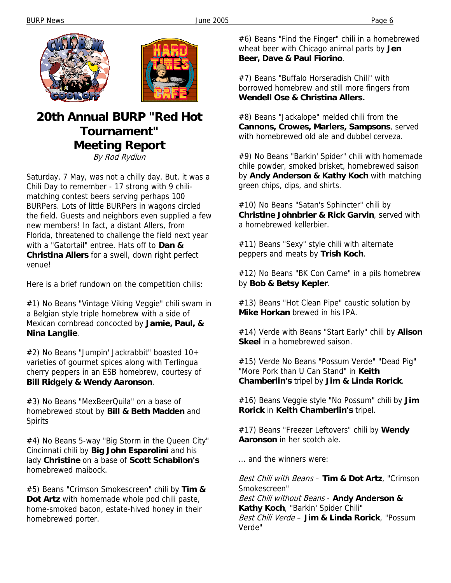



### **20th Annual BURP "Red Hot Tournament" Meeting Report**  By Rod Rydlun

Saturday, 7 May, was not a chilly day. But, it was a Chili Day to remember - 17 strong with 9 chilimatching contest beers serving perhaps 100 BURPers. Lots of little BURPers in wagons circled the field. Guests and neighbors even supplied a few new members! In fact, a distant Allers, from Florida, threatened to challenge the field next year with a "Gatortail" entree. Hats off to **Dan & Christina Allers** for a swell, down right perfect venue!

Here is a brief rundown on the competition chilis:

#1) No Beans "Vintage Viking Veggie" chili swam in a Belgian style triple homebrew with a side of Mexican cornbread concocted by **Jamie, Paul, & Nina Langlie**.

#2) No Beans "Jumpin' Jackrabbit" boasted 10+ varieties of gourmet spices along with Terlingua cherry peppers in an ESB homebrew, courtesy of **Bill Ridgely & Wendy Aaronson**.

#3) No Beans "MexBeerQuila" on a base of homebrewed stout by **Bill & Beth Madden** and Spirits

#4) No Beans 5-way "Big Storm in the Queen City" Cincinnati chili by **Big John Esparolini** and his lady **Christine** on a base of **Scott Schabilon's** homebrewed maibock.

#5) Beans "Crimson Smokescreen" chili by **Tim & Dot Artz** with homemade whole pod chili paste, home-smoked bacon, estate-hived honey in their homebrewed porter.

#6) Beans "Find the Finger" chili in a homebrewed wheat beer with Chicago animal parts by **Jen Beer, Dave & Paul Fiorino**.

#7) Beans "Buffalo Horseradish Chili" with borrowed homebrew and still more fingers from **Wendell Ose & Christina Allers.** 

#8) Beans "Jackalope" melded chili from the **Cannons, Crowes, Marlers, Sampsons**, served with homebrewed old ale and dubbel cerveza.

#9) No Beans "Barkin' Spider" chili with homemade chile powder, smoked brisket, homebrewed saison by **Andy Anderson & Kathy Koch** with matching green chips, dips, and shirts.

#10) No Beans "Satan's Sphincter" chili by **Christine Johnbrier & Rick Garvin**, served with a homebrewed kellerbier.

#11) Beans "Sexy" style chili with alternate peppers and meats by **Trish Koch**.

#12) No Beans "BK Con Carne" in a pils homebrew by **Bob & Betsy Kepler**.

#13) Beans "Hot Clean Pipe" caustic solution by **Mike Horkan** brewed in his IPA.

#14) Verde with Beans "Start Early" chili by **Alison Skeel** in a homebrewed saison.

#15) Verde No Beans "Possum Verde" "Dead Pig" "More Pork than U Can Stand" in **Keith Chamberlin's** tripel by **Jim & Linda Rorick**.

#16) Beans Veggie style "No Possum" chili by **Jim Rorick** in **Keith Chamberlin's** tripel.

#17) Beans "Freezer Leftovers" chili by **Wendy Aaronson** in her scotch ale.

... and the winners were:

Best Chili with Beans – **Tim & Dot Artz**, "Crimson Smokescreen" Best Chili without Beans - **Andy Anderson & Kathy Koch**, "Barkin' Spider Chili" Best Chili Verde – **Jim & Linda Rorick**, "Possum Verde"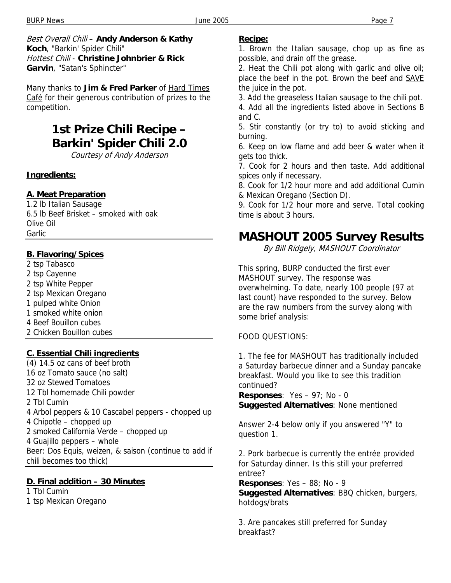Best Overall Chili – **Andy Anderson & Kathy Koch**, "Barkin' Spider Chili" Hottest Chili - **Christine Johnbrier & Rick Garvin**, "Satan's Sphincter"

Many thanks to **Jim & Fred Parker** of Hard Times Café for their generous contribution of prizes to the competition.

# **1st Prize Chili Recipe – Barkin' Spider Chili 2.0**

Courtesy of Andy Anderson

#### **Ingredients:**

#### **A. Meat Preparation**

1.2 lb Italian Sausage 6.5 lb Beef Brisket – smoked with oak Olive Oil Garlic

#### **B. Flavoring/Spices**

2 tsp Tabasco 2 tsp Cayenne 2 tsp White Pepper 2 tsp Mexican Oregano 1 pulped white Onion 1 smoked white onion 4 Beef Bouillon cubes 2 Chicken Bouillon cubes

#### **C. Essential Chili ingredients**

(4) 14.5 oz cans of beef broth 16 oz Tomato sauce (no salt) 32 oz Stewed Tomatoes 12 Tbl homemade Chili powder 2 Tbl Cumin 4 Arbol peppers & 10 Cascabel peppers - chopped up 4 Chipotle – chopped up 2 smoked California Verde – chopped up 4 Guajillo peppers – whole Beer: Dos Equis, weizen, & saison (continue to add if chili becomes too thick)

#### **D. Final addition – 30 Minutes**

1 Tbl Cumin

1 tsp Mexican Oregano

#### **Recipe:**

1. Brown the Italian sausage, chop up as fine as possible, and drain off the grease.

2. Heat the Chili pot along with garlic and olive oil; place the beef in the pot. Brown the beef and **SAVE** the juice in the pot.

3. Add the greaseless Italian sausage to the chili pot.

4. Add all the ingredients listed above in Sections B and C.

5. Stir constantly (or try to) to avoid sticking and burning.

6. Keep on low flame and add beer & water when it gets too thick.

7. Cook for 2 hours and then taste. Add additional spices only if necessary.

8. Cook for 1/2 hour more and add additional Cumin & Mexican Oregano (Section D).

9. Cook for 1/2 hour more and serve. Total cooking time is about 3 hours.

### **MASHOUT 2005 Survey Results**

By Bill Ridgely, MASHOUT Coordinator

This spring, BURP conducted the first ever MASHOUT survey. The response was overwhelming. To date, nearly 100 people (97 at last count) have responded to the survey. Below are the raw numbers from the survey along with some brief analysis:

#### FOOD QUESTIONS:

1. The fee for MASHOUT has traditionally included a Saturday barbecue dinner and a Sunday pancake breakfast. Would you like to see this tradition continued?

**Responses**: Yes – 97; No - 0 **Suggested Alternatives**: None mentioned

Answer 2-4 below only if you answered "Y" to question 1.

2. Pork barbecue is currently the entrée provided for Saturday dinner. Is this still your preferred entree?

**Responses**: Yes – 88; No - 9

**Suggested Alternatives**: BBQ chicken, burgers, hotdogs/brats

3. Are pancakes still preferred for Sunday breakfast?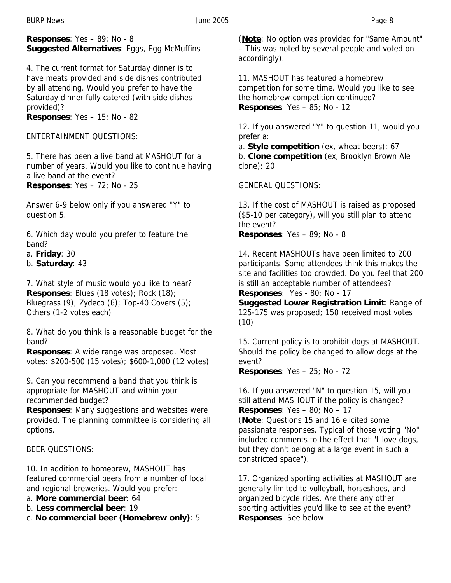#### **Responses**: Yes – 89; No - 8 **Suggested Alternatives**: Eggs, Egg McMuffins

4. The current format for Saturday dinner is to have meats provided and side dishes contributed by all attending. Would you prefer to have the Saturday dinner fully catered (with side dishes provided)?

**Responses**: Yes – 15; No - 82

ENTERTAINMENT QUESTIONS:

5. There has been a live band at MASHOUT for a number of years. Would you like to continue having a live band at the event? **Responses**: Yes – 72; No - 25

Answer 6-9 below only if you answered "Y" to question 5.

6. Which day would you prefer to feature the band?

a. **Friday**: 30

b. **Saturday**: 43

7. What style of music would you like to hear? **Responses**: Blues (18 votes); Rock (18); Bluegrass (9); Zydeco (6); Top-40 Covers (5); Others (1-2 votes each)

8. What do you think is a reasonable budget for the band?

**Responses**: A wide range was proposed. Most votes: \$200-500 (15 votes); \$600-1,000 (12 votes)

9. Can you recommend a band that you think is appropriate for MASHOUT and within your recommended budget?

**Responses**: Many suggestions and websites were provided. The planning committee is considering all options.

### BEER QUESTIONS:

10. In addition to homebrew, MASHOUT has featured commercial beers from a number of local and regional breweries. Would you prefer:

a. **More commercial beer**: 64

b. **Less commercial beer**: 19

c. **No commercial beer (Homebrew only)**: 5

(**Note**: No option was provided for "Same Amount" – This was noted by several people and voted on accordingly).

11. MASHOUT has featured a homebrew competition for some time. Would you like to see the homebrew competition continued? **Responses**: Yes – 85; No - 12

12. If you answered "Y" to question 11, would you prefer a:

a. **Style competition** (ex, wheat beers): 67 b. **Clone competition** (ex, Brooklyn Brown Ale clone): 20

#### GENERAL QUESTIONS:

13. If the cost of MASHOUT is raised as proposed (\$5-10 per category), will you still plan to attend the event? **Responses**: Yes – 89; No - 8

14. Recent MASHOUTs have been limited to 200 participants. Some attendees think this makes the site and facilities too crowded. Do you feel that 200 is still an acceptable number of attendees? **Responses**: Yes - 80; No - 17

**Suggested Lower Registration Limit**: Range of 125-175 was proposed; 150 received most votes (10)

15. Current policy is to prohibit dogs at MASHOUT. Should the policy be changed to allow dogs at the event?

**Responses**: Yes – 25; No - 72

16. If you answered "N" to question 15, will you still attend MASHOUT if the policy is changed? **Responses**: Yes – 80; No – 17

(**Note**: Questions 15 and 16 elicited some passionate responses. Typical of those voting "No" included comments to the effect that "I love dogs, but they don't belong at a large event in such a constricted space").

17. Organized sporting activities at MASHOUT are generally limited to volleyball, horseshoes, and organized bicycle rides. Are there any other sporting activities you'd like to see at the event? **Responses**: See below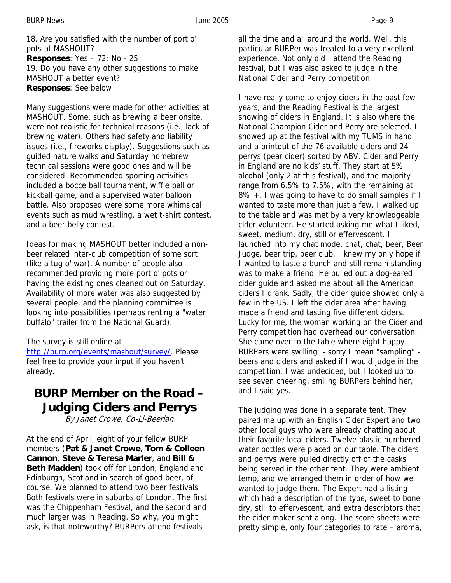Many suggestions were made for other activities at MASHOUT. Some, such as brewing a beer onsite, were not realistic for technical reasons (i.e., lack of brewing water). Others had safety and liability issues (i.e., fireworks display). Suggestions such as guided nature walks and Saturday homebrew technical sessions were good ones and will be considered. Recommended sporting activities included a bocce ball tournament, wiffle ball or kickball game, and a supervised water balloon battle. Also proposed were some more whimsical events such as mud wrestling, a wet t-shirt contest, and a beer belly contest.

Ideas for making MASHOUT better included a nonbeer related inter-club competition of some sort (like a tug o' war). A number of people also recommended providing more port o' pots or having the existing ones cleaned out on Saturday. Availability of more water was also suggested by several people, and the planning committee is looking into possibilities (perhaps renting a "water buffalo" trailer from the National Guard).

#### The survey is still online at

http://burp.org/events/mashout/survey/. Please feel free to provide your input if you haven't already.

# **BURP Member on the Road – Judging Ciders and Perrys**

By Janet Crowe, Co-Li-Beerian

At the end of April, eight of your fellow BURP members (**Pat & Janet Crowe**, **Tom & Colleen Cannon**, **Steve & Teresa Marler**, and **Bill & Beth Madden**) took off for London, England and Edinburgh, Scotland in search of good beer, of course. We planned to attend two beer festivals. Both festivals were in suburbs of London. The first was the Chippenham Festival, and the second and much larger was in Reading. So why, you might ask, is that noteworthy? BURPers attend festivals

all the time and all around the world. Well, this particular BURPer was treated to a very excellent experience. Not only did I attend the Reading festival, but I was also asked to judge in the National Cider and Perry competition.

I have really come to enjoy ciders in the past few years, and the Reading Festival is the largest showing of ciders in England. It is also where the National Champion Cider and Perry are selected. I showed up at the festival with my TUMS in hand and a printout of the 76 available ciders and 24 perrys (pear cider) sorted by ABV. Cider and Perry in England are no kids' stuff. They start at 5% alcohol (only 2 at this festival), and the majority range from 6.5% to 7.5%, with the remaining at 8% +. I was going to have to do small samples if I wanted to taste more than just a few. I walked up to the table and was met by a very knowledgeable cider volunteer. He started asking me what I liked, sweet, medium, dry, still or effervescent. I launched into my chat mode, chat, chat, beer, Beer Judge, beer trip, beer club. I knew my only hope if I wanted to taste a bunch and still remain standing was to make a friend. He pulled out a dog-eared cider guide and asked me about all the American ciders I drank. Sadly, the cider guide showed only a few in the US. I left the cider area after having made a friend and tasting five different ciders. Lucky for me, the woman working on the Cider and Perry competition had overhead our conversation. She came over to the table where eight happy BURPers were swilling - sorry I mean "sampling" beers and ciders and asked if I would judge in the competition. I was undecided, but I looked up to see seven cheering, smiling BURPers behind her, and I said yes.

The judging was done in a separate tent. They paired me up with an English Cider Expert and two other local guys who were already chatting about their favorite local ciders. Twelve plastic numbered water bottles were placed on our table. The ciders and perrys were pulled directly off of the casks being served in the other tent. They were ambient temp, and we arranged them in order of how we wanted to judge them. The Expert had a listing which had a description of the type, sweet to bone dry, still to effervescent, and extra descriptors that the cider maker sent along. The score sheets were pretty simple, only four categories to rate – aroma,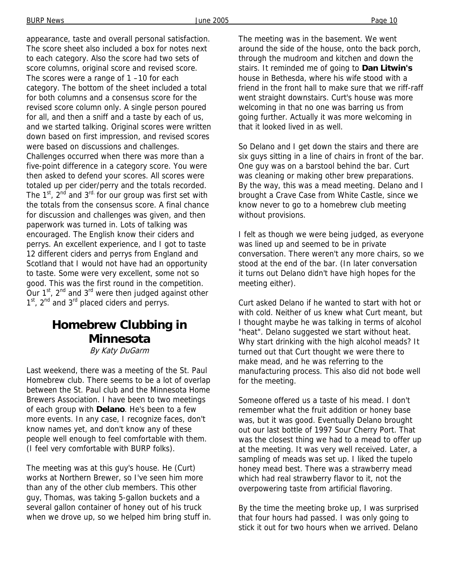appearance, taste and overall personal satisfaction. The score sheet also included a box for notes next to each category. Also the score had two sets of score columns, original score and revised score. The scores were a range of 1 –10 for each category. The bottom of the sheet included a total for both columns and a consensus score for the revised score column only. A single person poured for all, and then a sniff and a taste by each of us, and we started talking. Original scores were written down based on first impression, and revised scores were based on discussions and challenges. Challenges occurred when there was more than a five-point difference in a category score. You were then asked to defend your scores. All scores were totaled up per cider/perry and the totals recorded. The  $1^{st}$ ,  $2^{nd}$  and  $3^{rd}$  for our group was first set with

the totals from the consensus score. A final chance for discussion and challenges was given, and then paperwork was turned in. Lots of talking was encouraged. The English know their ciders and perrys. An excellent experience, and I got to taste 12 different ciders and perrys from England and Scotland that I would not have had an opportunity to taste. Some were very excellent, some not so good. This was the first round in the competition. Our  $1^{st}$ ,  $2^{nd}$  and  $3^{rd}$  were then judged against other 1<sup>st</sup>, 2<sup>nd</sup> and 3<sup>rd</sup> placed ciders and perrys.

## **Homebrew Clubbing in Minnesota**

By Katy DuGarm

Last weekend, there was a meeting of the St. Paul Homebrew club. There seems to be a lot of overlap between the St. Paul club and the Minnesota Home Brewers Association. I have been to two meetings of each group with **Delano**. He's been to a few more events. In any case, I recognize faces, don't know names yet, and don't know any of these people well enough to feel comfortable with them. (I feel very comfortable with BURP folks).

The meeting was at this guy's house. He (Curt) works at Northern Brewer, so I've seen him more than any of the other club members. This other guy, Thomas, was taking 5-gallon buckets and a several gallon container of honey out of his truck when we drove up, so we helped him bring stuff in. The meeting was in the basement. We went around the side of the house, onto the back porch, through the mudroom and kitchen and down the stairs. It reminded me of going to **Dan Litwin's** house in Bethesda, where his wife stood with a friend in the front hall to make sure that we riff-raff went straight downstairs. Curt's house was more welcoming in that no one was barring us from going further. Actually it was more welcoming in that it looked lived in as well.

So Delano and I get down the stairs and there are six guys sitting in a line of chairs in front of the bar. One guy was on a barstool behind the bar. Curt was cleaning or making other brew preparations. By the way, this was a mead meeting. Delano and I brought a Crave Case from White Castle, since we know never to go to a homebrew club meeting without provisions.

I felt as though we were being judged, as everyone was lined up and seemed to be in private conversation. There weren't any more chairs, so we stood at the end of the bar. (In later conversation it turns out Delano didn't have high hopes for the meeting either).

Curt asked Delano if he wanted to start with hot or with cold. Neither of us knew what Curt meant, but I thought maybe he was talking in terms of alcohol "heat". Delano suggested we start without heat. Why start drinking with the high alcohol meads? It turned out that Curt thought we were there to make mead, and he was referring to the manufacturing process. This also did not bode well for the meeting.

Someone offered us a taste of his mead. I don't remember what the fruit addition or honey base was, but it was good. Eventually Delano brought out our last bottle of 1997 Sour Cherry Port. That was the closest thing we had to a mead to offer up at the meeting. It was very well received. Later, a sampling of meads was set up. I liked the tupelo honey mead best. There was a strawberry mead which had real strawberry flavor to it, not the overpowering taste from artificial flavoring.

By the time the meeting broke up, I was surprised that four hours had passed. I was only going to stick it out for two hours when we arrived. Delano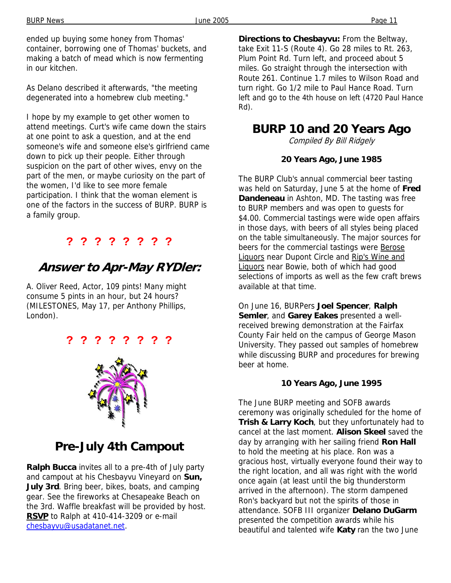ended up buying some honey from Thomas' container, borrowing one of Thomas' buckets, and making a batch of mead which is now fermenting in our kitchen.

As Delano described it afterwards, "the meeting degenerated into a homebrew club meeting."

I hope by my example to get other women to attend meetings. Curt's wife came down the stairs at one point to ask a question, and at the end someone's wife and someone else's girlfriend came down to pick up their people. Either through suspicion on the part of other wives, envy on the part of the men, or maybe curiosity on the part of the women, I'd like to see more female participation. I think that the woman element is one of the factors in the success of BURP. BURP is a family group.

### **? ? ? ? ? ? ? ?**

## **Answer to Apr-May RYDler:**

A. Oliver Reed, Actor, 109 pints! Many might consume 5 pints in an hour, but 24 hours? (MILESTONES, May 17, per Anthony Phillips, London).

### **? ? ? ? ? ? ? ?**



## **Pre-July 4th Campout**

**Ralph Bucca** invites all to a pre-4th of July party and campout at his Chesbayvu Vineyard on **Sun, July 3rd**. Bring beer, bikes, boats, and camping gear. See the fireworks at Chesapeake Beach on the 3rd. Waffle breakfast will be provided by host. **RSVP** to Ralph at 410-414-3209 or e-mail chesbayvu@usadatanet.net.

**Directions to Chesbayvu:** From the Beltway, take Exit 11-S (Route 4). Go 28 miles to Rt. 263, Plum Point Rd. Turn left, and proceed about 5 miles. Go straight through the intersection with Route 261. Continue 1.7 miles to Wilson Road and turn right. Go 1/2 mile to Paul Hance Road. Turn left and go to the 4th house on left (4720 Paul Hance Rd).

### **BURP 10 and 20 Years Ago**

Compiled By Bill Ridgely

#### **20 Years Ago, June 1985**

The BURP Club's annual commercial beer tasting was held on Saturday, June 5 at the home of **Fred Dandeneau** in Ashton, MD. The tasting was free to BURP members and was open to guests for \$4.00. Commercial tastings were wide open affairs in those days, with beers of all styles being placed on the table simultaneously. The major sources for beers for the commercial tastings were Berose Liquors near Dupont Circle and Rip's Wine and Liquors near Bowie, both of which had good selections of imports as well as the few craft brews available at that time.

On June 16, BURPers **Joel Spencer**, **Ralph Semler**, and **Garey Eakes** presented a wellreceived brewing demonstration at the Fairfax County Fair held on the campus of George Mason University. They passed out samples of homebrew while discussing BURP and procedures for brewing beer at home.

#### **10 Years Ago, June 1995**

The June BURP meeting and SOFB awards ceremony was originally scheduled for the home of **Trish & Larry Koch**, but they unfortunately had to cancel at the last moment. **Alison Skeel** saved the day by arranging with her sailing friend **Ron Hall**  to hold the meeting at his place. Ron was a gracious host, virtually everyone found their way to the right location, and all was right with the world once again (at least until the big thunderstorm arrived in the afternoon). The storm dampened Ron's backyard but not the spirits of those in attendance. SOFB III organizer **Delano DuGarm**  presented the competition awards while his beautiful and talented wife **Katy** ran the two June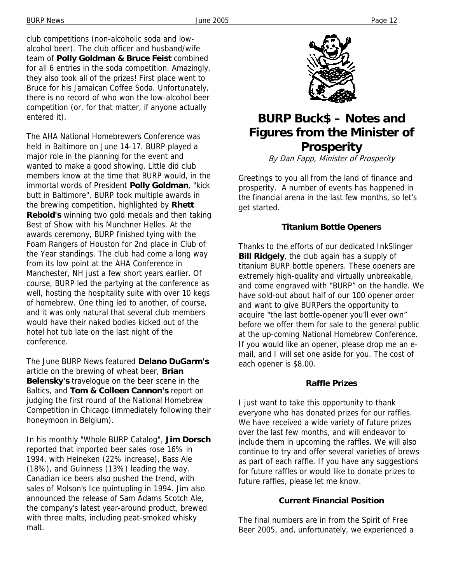club competitions (non-alcoholic soda and lowalcohol beer). The club officer and husband/wife team of **Polly Goldman & Bruce Feist** combined for all 6 entries in the soda competition. Amazingly, they also took all of the prizes! First place went to Bruce for his Jamaican Coffee Soda. Unfortunately, there is no record of who won the low-alcohol beer competition (or, for that matter, if anyone actually entered it).

The AHA National Homebrewers Conference was held in Baltimore on June 14-17. BURP played a major role in the planning for the event and wanted to make a good showing. Little did club members know at the time that BURP would, in the immortal words of President **Polly Goldman**, "kick butt in Baltimore". BURP took multiple awards in the brewing competition, highlighted by **Rhett Rebold's** winning two gold medals and then taking Best of Show with his Munchner Helles. At the awards ceremony, BURP finished tying with the Foam Rangers of Houston for 2nd place in Club of the Year standings. The club had come a long way from its low point at the AHA Conference in Manchester, NH just a few short years earlier. Of course, BURP led the partying at the conference as well, hosting the hospitality suite with over 10 kegs of homebrew. One thing led to another, of course, and it was only natural that several club members would have their naked bodies kicked out of the hotel hot tub late on the last night of the conference.

The June BURP News featured **Delano DuGarm's**  article on the brewing of wheat beer, **Brian Belensky's** travelogue on the beer scene in the Baltics, and **Tom & Colleen Cannon's** report on judging the first round of the National Homebrew Competition in Chicago (immediately following their honeymoon in Belgium).

In his monthly "Whole BURP Catalog", **Jim Dorsch**  reported that imported beer sales rose 16% in 1994, with Heineken (22% increase), Bass Ale (18%), and Guinness (13%) leading the way. Canadian ice beers also pushed the trend, with sales of Molson's Ice quintupling in 1994. Jim also announced the release of Sam Adams Scotch Ale, the company's latest year-around product, brewed with three malts, including peat-smoked whisky malt.



# **BURP Buck\$ – Notes and Figures from the Minister of Prosperity**

By Dan Fapp, Minister of Prosperity

Greetings to you all from the land of finance and prosperity. A number of events has happened in the financial arena in the last few months, so let's get started.

#### **Titanium Bottle Openers**

Thanks to the efforts of our dedicated InkSlinger **Bill Ridgely**, the club again has a supply of titanium BURP bottle openers. These openers are extremely high-quality and virtually unbreakable, and come engraved with "BURP" on the handle. We have sold-out about half of our 100 opener order and want to give BURPers the opportunity to acquire "the last bottle-opener you'll ever own" before we offer them for sale to the general public at the up-coming National Homebrew Conference. If you would like an opener, please drop me an email, and I will set one aside for you. The cost of each opener is \$8.00.

#### **Raffle Prizes**

I just want to take this opportunity to thank everyone who has donated prizes for our raffles. We have received a wide variety of future prizes over the last few months, and will endeavor to include them in upcoming the raffles. We will also continue to try and offer several varieties of brews as part of each raffle. If you have any suggestions for future raffles or would like to donate prizes to future raffles, please let me know.

#### **Current Financial Position**

The final numbers are in from the Spirit of Free Beer 2005, and, unfortunately, we experienced a